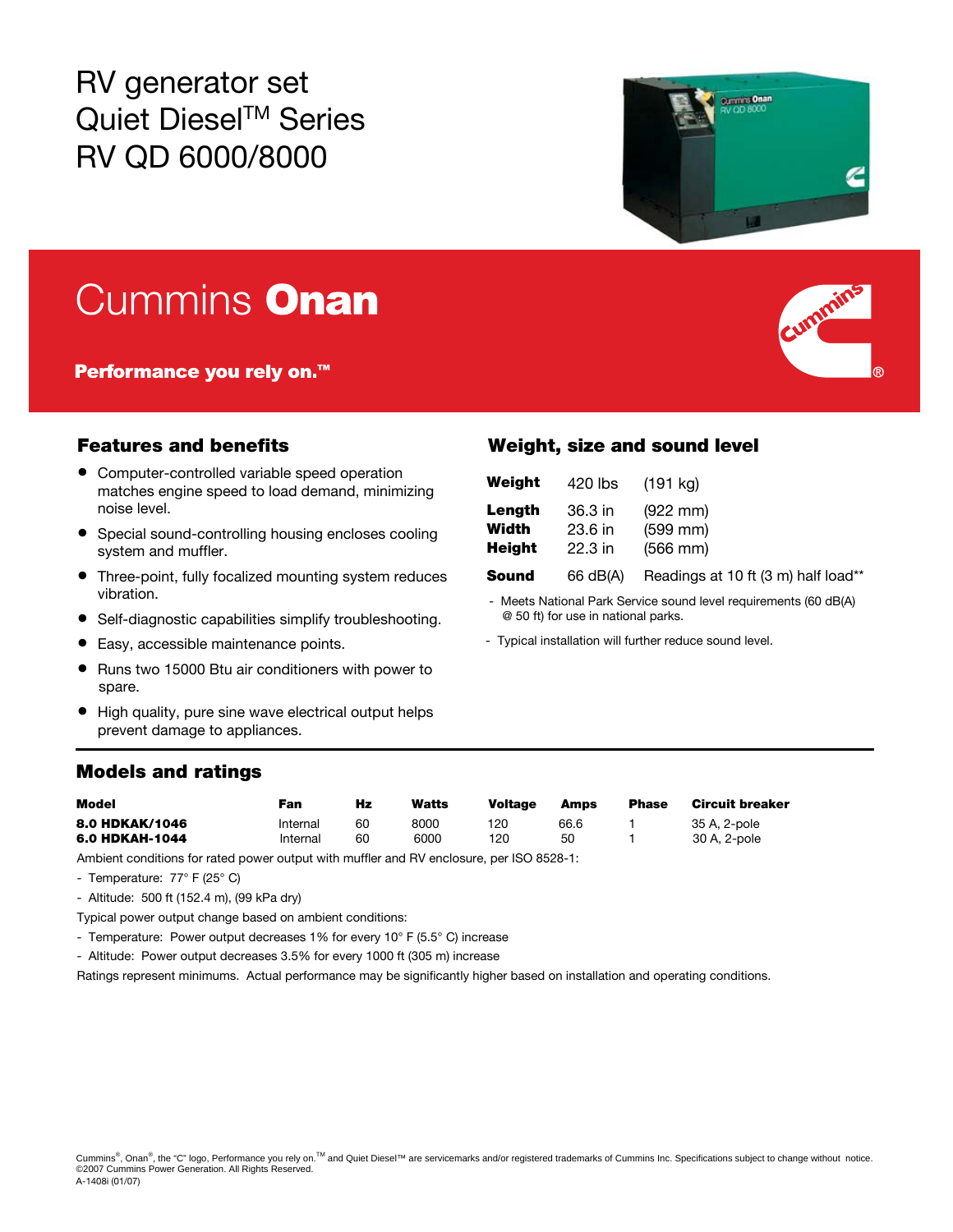RV generator set Quiet Diesel™ Series RV QD 6000/8000



# Cummins Onan

Performance you rely on.<sup>™</sup>

- Computer-controlled variable speed operation matches engine speed to load demand, minimizing noise level.
- Special sound-controlling housing encloses cooling system and muffler.
- Three-point, fully focalized mounting system reduces vibration.
- Self-diagnostic capabilities simplify troubleshooting.
- Easy, accessible maintenance points.
- Runs two 15000 Btu air conditioners with power to spare.
- High quality, pure sine wave electrical output helps prevent damage to appliances.

### Models and ratings

| Model          | Fan      | Hz | Watts | <b>Voltage</b> | Amps | <b>Phase</b> | Circuit breaker |
|----------------|----------|----|-------|----------------|------|--------------|-----------------|
| 8.0 HDKAK/1046 | Internal | 60 | 8000  | 120            | 66.6 |              | 35 A. 2-pole    |
| 6.0 HDKAH-1044 | Internal | 60 | 6000  | 120            | 50   |              | 30 A, 2-pole    |

Ambient conditions for rated power output with muffler and RV enclosure, per ISO 8528-1:

- Temperature: 77° F (25° C)

- Altitude: 500 ft (152.4 m), (99 kPa dry)
- Typical power output change based on ambient conditions:
- Temperature: Power output decreases 1% for every 10° F (5.5° C) increase
- Altitude: Power output decreases 3.5% for every 1000 ft (305 m) increase

Ratings represent minimums. Actual performance may be significantly higher based on installation and operating conditions.

### Features and benefits Weight, size and sound level

| Weight        | 420 lbs   | (191 kg)                            |
|---------------|-----------|-------------------------------------|
| Length        | 36.3 in   | $(922 \, \text{mm})$                |
| Width         | $23.6$ in | $(599$ mm $)$                       |
| <b>Height</b> | $22.3$ in | $(566$ mm $)$                       |
| Sound         | 66 dB(A)  | Readings at 10 ft (3 m) half load** |

- Meets National Park Service sound level requirements (60 dB(A) @ 50 ft) for use in national parks.

- Typical installation will further reduce sound level.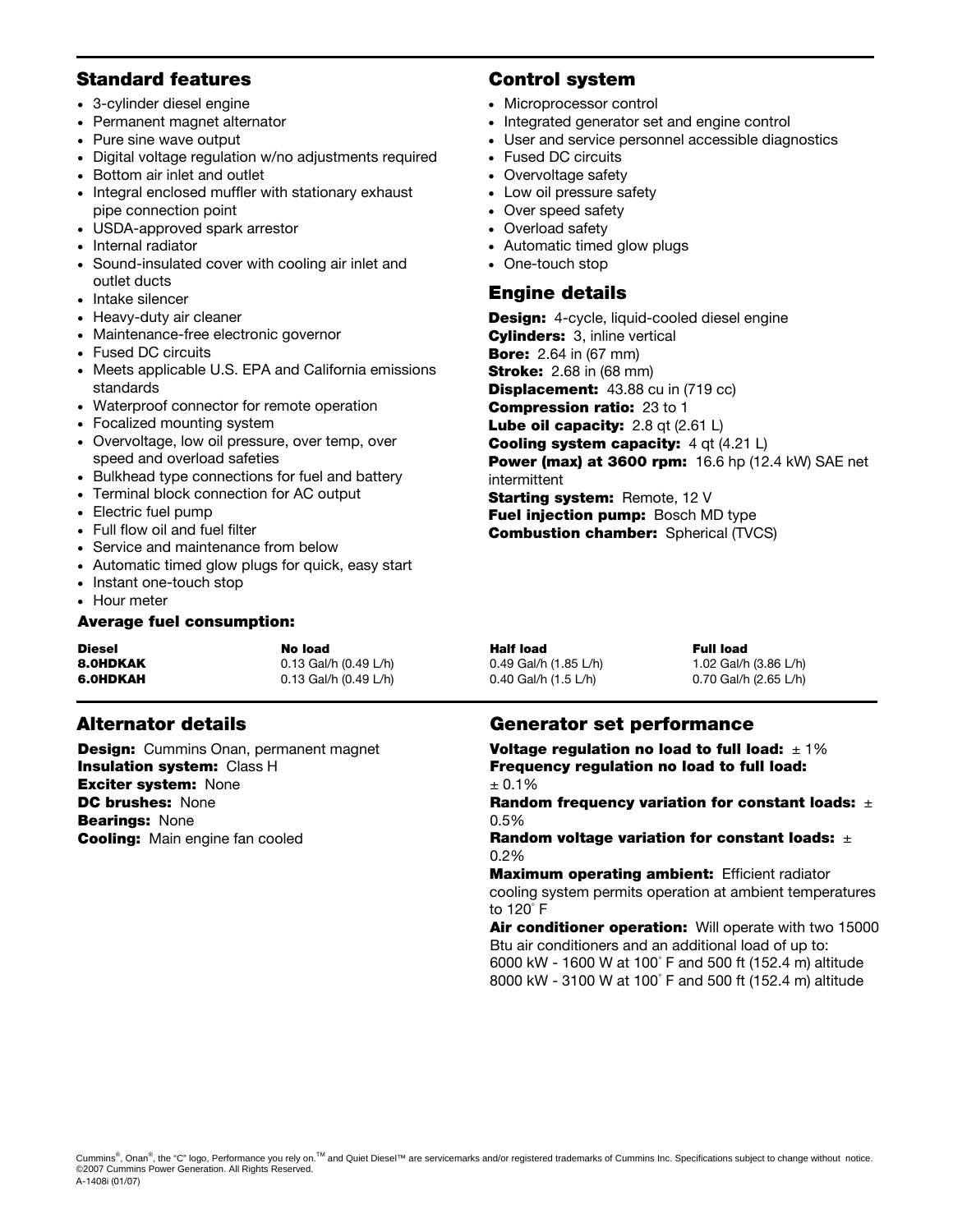#### Standard features Control system

- 3-cylinder diesel engine
- Permanent magnet alternator
- Pure sine wave output
- Digital voltage regulation w/no adjustments required
- Bottom air inlet and outlet
- Integral enclosed muffler with stationary exhaust pipe connection point
- USDA-approved spark arrestor
- Internal radiator
- Sound-insulated cover with cooling air inlet and outlet ducts
- Intake silencer
- Heavy-duty air cleaner
- Maintenance-free electronic governor
- Fused DC circuits
- Meets applicable U.S. EPA and California emissions standards
- Waterproof connector for remote operation
- Focalized mounting system
- Overvoltage, low oil pressure, over temp, over speed and overload safeties
- Bulkhead type connections for fuel and battery
- Terminal block connection for AC output
- Electric fuel pump
- Full flow oil and fuel filter
- Service and maintenance from below
- Automatic timed glow plugs for quick, easy start
- Instant one-touch stop
- Hour meter

#### Average fuel consumption:

| Diesel   | No load               | Half load              | <b>Full load</b> |
|----------|-----------------------|------------------------|------------------|
| 8.0HDKAK | 0.13 Gal/h (0.49 L/h) | 0.49 Gal/h (1.85 L/h)  | 1.02 Gal/h       |
| 6.OHDKAH | 0.13 Gal/h (0.49 L/h) | 0.40 Gal/h $(1.5 L/h)$ | 0.70 Gal/h       |

**Design:** Cummins Onan, permanent magnet Insulation system: Class H **Exciter system: None** DC brushes: None **Bearings: None Cooling:** Main engine fan cooled

- Microprocessor control
- Integrated generator set and engine control
- User and service personnel accessible diagnostics
- Fused DC circuits
- Overvoltage safety
- Low oil pressure safety
- Over speed safety
- Overload safety
- Automatic timed glow plugs
- One-touch stop

### Engine details

**Design:** 4-cycle, liquid-cooled diesel engine **Cylinders:** 3, inline vertical **Bore:** 2.64 in (67 mm) **Stroke:** 2.68 in (68 mm) **Displacement:** 43.88 cu in (719 cc) Compression ratio: 23 to 1 Lube oil capacity: 2.8 qt (2.61 L) Cooling system capacity: 4 qt (4.21 L) **Power (max) at 3600 rpm:** 16.6 hp (12.4 kW) SAE net intermittent Starting system: Remote, 12 V Fuel injection pump: Bosch MD type **Combustion chamber:** Spherical (TVCS)

8.0HD (1.85 L/h) 1.02 Gal/h (3.86 L/h) 1.02 Gal/h (3.86 L/h) 1.02 Gal/h (3.86 L/h) 0.70 Gal/h (2.65 L/h)

### Alternator details Generator set performance

Voltage regulation no load to full load:  $\pm 1\%$ Frequency regulation no load to full load:  $± 0.1%$ 

Random frequency variation for constant loads:  $\pm$ 0.5%

Random voltage variation for constant loads:  $\pm$ 0.2%

**Maximum operating ambient: Efficient radiator** cooling system permits operation at ambient temperatures to 120° F

Air conditioner operation: Will operate with two 15000 Btu air conditioners and an additional load of up to: 6000 kW - 1600 W at 100° F and 500 ft (152.4 m) altitude 8000 kW - 3100 W at 100° F and 500 ft (152.4 m) altitude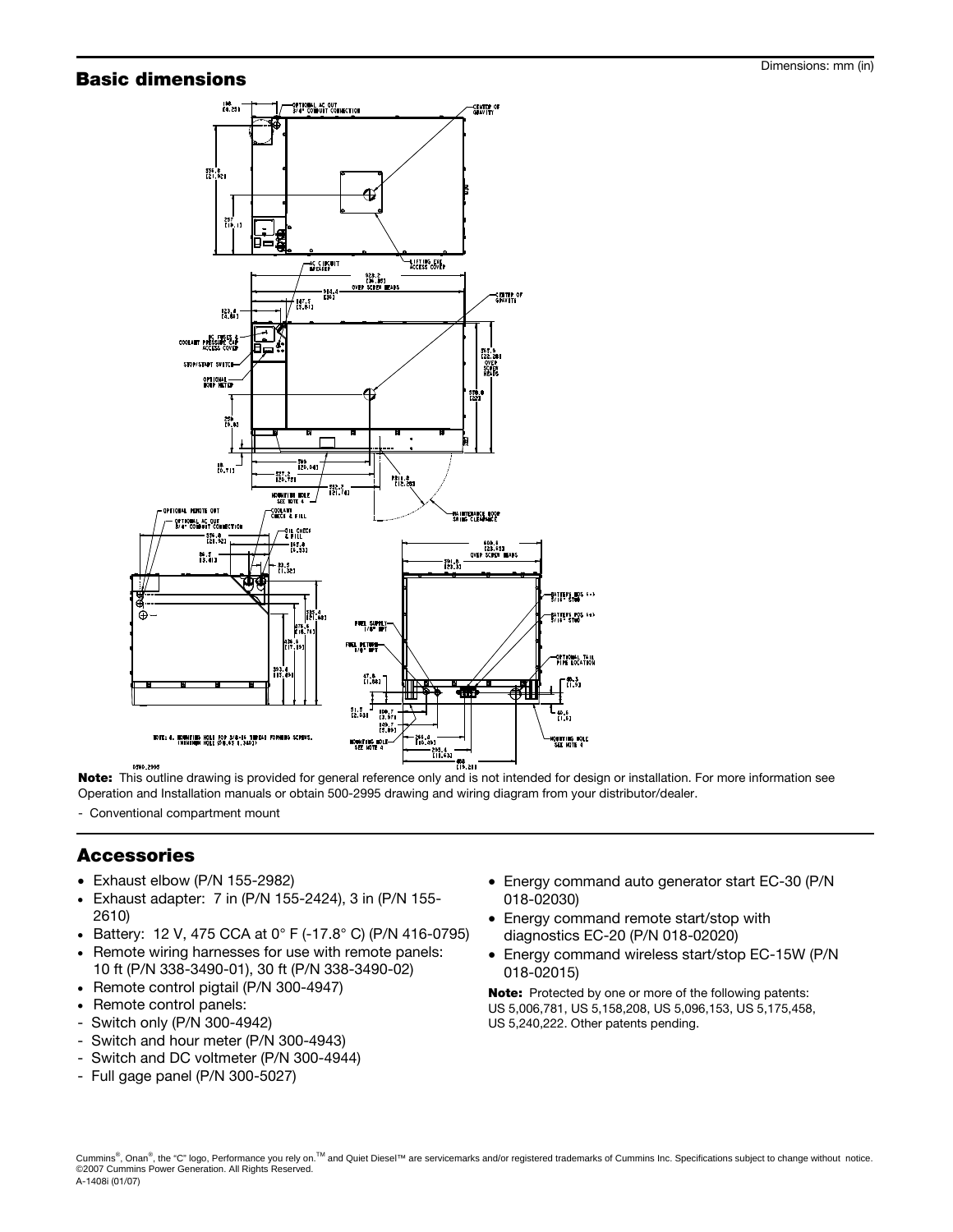## **Basic dimensions Dimensions Basic dimensions:** mm (in)



Note: This outline drawing is provided for general reference only and is not intended for design or installation. For more information see Operation and Installation manuals or obtain 500-2995 drawing and wiring diagram from your distributor/dealer.

- Conventional compartment mount

#### Accessories

- Exhaust elbow (P/N 155-2982)
- Exhaust adapter: 7 in (P/N 155-2424), 3 in (P/N 155- 2610)
- Battery: 12 V, 475 CCA at 0° F (-17.8° C) (P/N 416-0795)
- Remote wiring harnesses for use with remote panels: 10 ft (P/N 338-3490-01), 30 ft (P/N 338-3490-02)
- Remote control pigtail (P/N 300-4947)
- Remote control panels:
- Switch only (P/N 300-4942)
- Switch and hour meter (P/N 300-4943)
- Switch and DC voltmeter (P/N 300-4944)
- Full gage panel (P/N 300-5027)
- Energy command auto generator start EC-30 (P/N 018-02030)
- Energy command remote start/stop with diagnostics EC-20 (P/N 018-02020)
- Energy command wireless start/stop EC-15W (P/N 018-02015)

Note: Protected by one or more of the following patents: US 5,006,781, US 5,158,208, US 5,096,153, US 5,175,458, US 5,240,222. Other patents pending.

Cummins®, Onan®, the "C" logo, Performance you rely on.<sup>™</sup> and Quiet Diesel™ are servicemarks and/or registered trademarks of Cummins Inc. Specifications subject to change without notice. ©2007 Cummins Power Generation. All Rights Reserved. A-1408i (01/07)